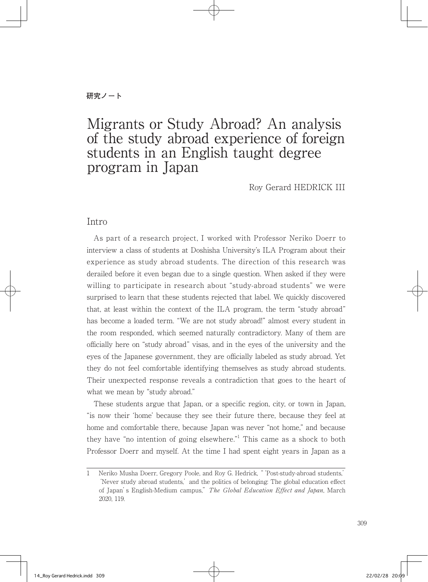# Migrants or Study Abroad? An analysis of the study abroad experience of foreign students in an English taught degree program in Japan

Roy Gerard HEDRICK III

### Intro

 As part of a research project, I worked with Professor Neriko Doerr to interview a class of students at Doshisha University's ILA Program about their experience as study abroad students. The direction of this research was derailed before it even began due to a single question. When asked if they were willing to participate in research about "study-abroad students" we were surprised to learn that these students rejected that label. We quickly discovered that, at least within the context of the ILA program, the term "study abroad" has become a loaded term. "We are not study abroad!" almost every student in the room responded, which seemed naturally contradictory. Many of them are officially here on "study abroad" visas, and in the eyes of the university and the eyes of the Japanese government, they are officially labeled as study abroad. Yet they do not feel comfortable identifying themselves as study abroad students. Their unexpected response reveals a contradiction that goes to the heart of what we mean by "study abroad."

 These students argue that Japan, or a specific region, city, or town in Japan, "is now their 'home' because they see their future there, because they feel at home and comfortable there, because Japan was never "not home," and because they have "no intention of going elsewhere."<sup>1</sup> This came as a shock to both Professor Doerr and myself. At the time I had spent eight years in Japan as a

<sup>1</sup> Neriko Musha Doerr, Gregory Poole, and Roy G. Hedrick, "'Post-study-abroad students,' 'Never study abroad students,' and the politics of belonging: The global education effect of Japan's English-Medium campus," The Global Education Effect and Japan, March 2020, 119.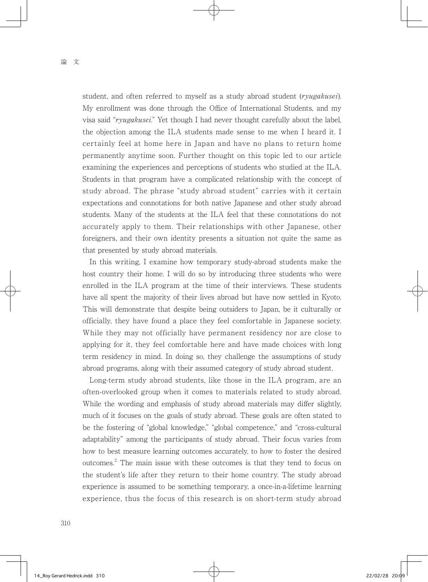student, and often referred to myself as a study abroad student (ryugakusei). My enrollment was done through the Office of International Students, and my visa said "ryugakusei." Yet though I had never thought carefully about the label, the objection among the ILA students made sense to me when I heard it. I certainly feel at home here in Japan and have no plans to return home permanently anytime soon. Further thought on this topic led to our article examining the experiences and perceptions of students who studied at the ILA. Students in that program have a complicated relationship with the concept of study abroad. The phrase "study abroad student" carries with it certain expectations and connotations for both native Japanese and other study abroad students. Many of the students at the ILA feel that these connotations do not accurately apply to them. Their relationships with other Japanese, other foreigners, and their own identity presents a situation not quite the same as that presented by study abroad materials.

 In this writing, I examine how temporary study-abroad students make the host country their home. I will do so by introducing three students who were enrolled in the ILA program at the time of their interviews. These students have all spent the majority of their lives abroad but have now settled in Kyoto. This will demonstrate that despite being outsiders to Japan, be it culturally or officially, they have found a place they feel comfortable in Japanese society. While they may not officially have permanent residency nor are close to applying for it, they feel comfortable here and have made choices with long term residency in mind. In doing so, they challenge the assumptions of study abroad programs, along with their assumed category of study abroad student.

 Long-term study abroad students, like those in the ILA program, are an often-overlooked group when it comes to materials related to study abroad. While the wording and emphasis of study abroad materials may differ slightly, much of it focuses on the goals of study abroad. These goals are often stated to be the fostering of "global knowledge," "global competence," and "cross-cultural adaptability" among the participants of study abroad. Their focus varies from how to best measure learning outcomes accurately, to how to foster the desired outcomes.<sup>2</sup> The main issue with these outcomes is that they tend to focus on the student's life after they return to their home country. The study abroad experience is assumed to be something temporary, a once-in-a-lifetime learning experience, thus the focus of this research is on short-term study abroad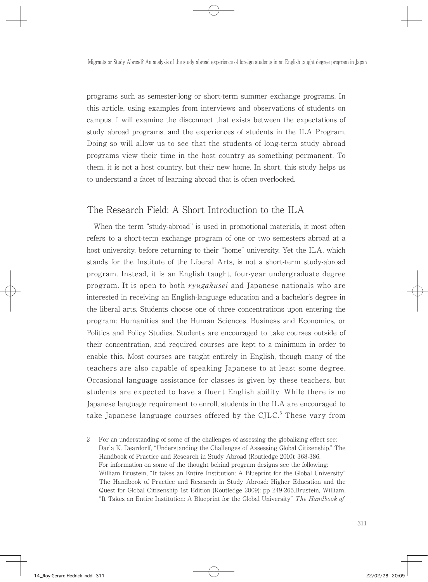programs such as semester-long or short-term summer exchange programs. In this article, using examples from interviews and observations of students on campus, I will examine the disconnect that exists between the expectations of study abroad programs, and the experiences of students in the ILA Program. Doing so will allow us to see that the students of long-term study abroad programs view their time in the host country as something permanent. To them, it is not a host country, but their new home. In short, this study helps us to understand a facet of learning abroad that is often overlooked.

### The Research Field: A Short Introduction to the ILA

 When the term "study-abroad" is used in promotional materials, it most often refers to a short-term exchange program of one or two semesters abroad at a host university, before returning to their "home" university. Yet the ILA, which stands for the Institute of the Liberal Arts, is not a short-term study-abroad program. Instead, it is an English taught, four-year undergraduate degree program. It is open to both *ryugakusei* and Japanese nationals who are interested in receiving an English-language education and a bachelor's degree in the liberal arts. Students choose one of three concentrations upon entering the program: Humanities and the Human Sciences, Business and Economics, or Politics and Policy Studies. Students are encouraged to take courses outside of their concentration, and required courses are kept to a minimum in order to enable this. Most courses are taught entirely in English, though many of the teachers are also capable of speaking Japanese to at least some degree. Occasional language assistance for classes is given by these teachers, but students are expected to have a fluent English ability. While there is no Japanese language requirement to enroll, students in the ILA are encouraged to take Japanese language courses offered by the CJLC. $^3$  These vary from

<sup>2</sup> For an understanding of some of the challenges of assessing the globalizing effect see: Darla K. Deardorff, "Understanding the Challenges of Assessing Global Citizenship." The Handbook of Practice and Research in Study Abroad (Routledge 2010): 368-386. For information on some of the thought behind program designs see the following: William Brustein, "It takes an Entire Institution: A Blueprint for the Global University" The Handbook of Practice and Research in Study Abroad: Higher Education and the Quest for Global Citizenship 1st Edition (Routledge 2009): pp 249-265.Brustein, William. "It Takes an Entire Institution: A Blueprint for the Global University" The Handbook of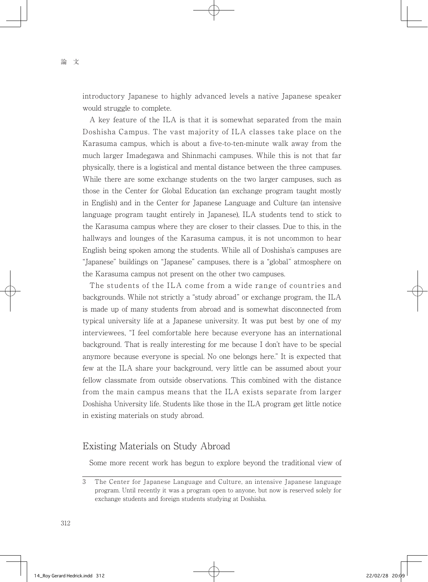introductory Japanese to highly advanced levels a native Japanese speaker would struggle to complete.

 A key feature of the ILA is that it is somewhat separated from the main Doshisha Campus. The vast majority of ILA classes take place on the Karasuma campus, which is about a five-to-ten-minute walk away from the much larger Imadegawa and Shinmachi campuses. While this is not that far physically, there is a logistical and mental distance between the three campuses. While there are some exchange students on the two larger campuses, such as those in the Center for Global Education (an exchange program taught mostly in English) and in the Center for Japanese Language and Culture (an intensive language program taught entirely in Japanese), ILA students tend to stick to the Karasuma campus where they are closer to their classes. Due to this, in the hallways and lounges of the Karasuma campus, it is not uncommon to hear English being spoken among the students. While all of Doshisha's campuses are "Japanese" buildings on "Japanese" campuses, there is a "global" atmosphere on the Karasuma campus not present on the other two campuses.

 The students of the ILA come from a wide range of countries and backgrounds. While not strictly a "study abroad" or exchange program, the ILA is made up of many students from abroad and is somewhat disconnected from typical university life at a Japanese university. It was put best by one of my interviewees, "I feel comfortable here because everyone has an international background. That is really interesting for me because I don't have to be special anymore because everyone is special. No one belongs here." It is expected that few at the ILA share your background, very little can be assumed about your fellow classmate from outside observations. This combined with the distance from the main campus means that the ILA exists separate from larger Doshisha University life. Students like those in the ILA program get little notice in existing materials on study abroad.

### Existing Materials on Study Abroad

Some more recent work has begun to explore beyond the traditional view of

<sup>3</sup> The Center for Japanese Language and Culture, an intensive Japanese language program. Until recently it was a program open to anyone, but now is reserved solely for exchange students and foreign students studying at Doshisha.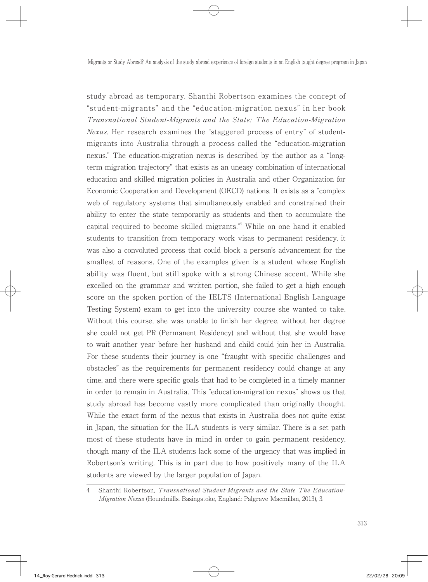study abroad as temporary. Shanthi Robertson examines the concept of "student-migrants" and the "education-migration nexus" in her book Transnational Student-Migrants and the State: The Education-Migration Nexus. Her research examines the "staggered process of entry" of studentmigrants into Australia through a process called the "education-migration nexus." The education-migration nexus is described by the author as a "longterm migration trajectory" that exists as an uneasy combination of international education and skilled migration policies in Australia and other Organization for Economic Cooperation and Development (OECD) nations. It exists as a "complex web of regulatory systems that simultaneously enabled and constrained their ability to enter the state temporarily as students and then to accumulate the capital required to become skilled migrants."4 While on one hand it enabled students to transition from temporary work visas to permanent residency, it was also a convoluted process that could block a person's advancement for the smallest of reasons. One of the examples given is a student whose English ability was fluent, but still spoke with a strong Chinese accent. While she excelled on the grammar and written portion, she failed to get a high enough score on the spoken portion of the IELTS (International English Language Testing System) exam to get into the university course she wanted to take. Without this course, she was unable to finish her degree, without her degree she could not get PR (Permanent Residency) and without that she would have to wait another year before her husband and child could join her in Australia. For these students their journey is one "fraught with specific challenges and obstacles" as the requirements for permanent residency could change at any time, and there were specific goals that had to be completed in a timely manner in order to remain in Australia. This "education-migration nexus" shows us that study abroad has become vastly more complicated than originally thought. While the exact form of the nexus that exists in Australia does not quite exist in Japan, the situation for the ILA students is very similar. There is a set path most of these students have in mind in order to gain permanent residency, though many of the ILA students lack some of the urgency that was implied in Robertson's writing. This is in part due to how positively many of the ILA students are viewed by the larger population of Japan.

<sup>4</sup> Shanthi Robertson, Transnational Student-Migrants and the State The Education-Migration Nexus (Houndmills, Basingstoke, England: Palgrave Macmillan, 2013), 3.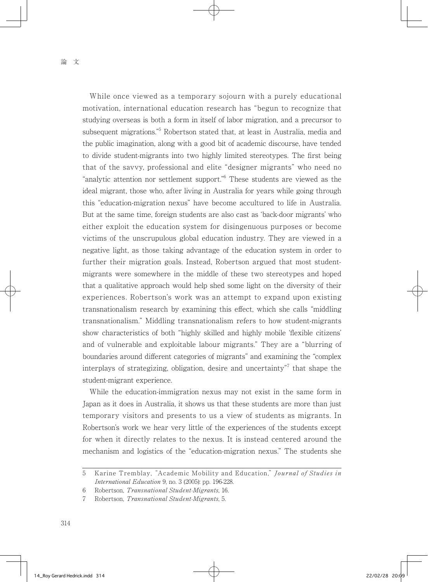While once viewed as a temporary sojourn with a purely educational motivation, international education research has "begun to recognize that studying overseas is both a form in itself of labor migration, and a precursor to subsequent migrations."<sup>5</sup> Robertson stated that, at least in Australia, media and the public imagination, along with a good bit of academic discourse, have tended to divide student-migrants into two highly limited stereotypes. The first being that of the savvy, professional and elite "designer migrants" who need no "analytic attention nor settlement support."6 These students are viewed as the ideal migrant, those who, after living in Australia for years while going through this "education-migration nexus" have become accultured to life in Australia. But at the same time, foreign students are also cast as 'back-door migrants' who either exploit the education system for disingenuous purposes or become victims of the unscrupulous global education industry. They are viewed in a negative light, as those taking advantage of the education system in order to further their migration goals. Instead, Robertson argued that most studentmigrants were somewhere in the middle of these two stereotypes and hoped that a qualitative approach would help shed some light on the diversity of their experiences. Robertson's work was an attempt to expand upon existing transnationalism research by examining this effect, which she calls "middling transnationalism." Middling transnationalism refers to how student-migrants show characteristics of both "highly skilled and highly mobile 'flexible citizens' and of vulnerable and exploitable labour migrants." They are a "blurring of boundaries around different categories of migrants" and examining the "complex interplays of strategizing, obligation, desire and uncertainty"<sup>7</sup> that shape the student-migrant experience.

 While the education-immigration nexus may not exist in the same form in Japan as it does in Australia, it shows us that these students are more than just temporary visitors and presents to us a view of students as migrants. In Robertson's work we hear very little of the experiences of the students except for when it directly relates to the nexus. It is instead centered around the mechanism and logistics of the "education-migration nexus." The students she

<sup>5</sup> Karine Tremblay, "Academic Mobility and Education," Journal of Studies in International Education 9, no. 3 (2005): pp. 196-228.

<sup>6</sup> Robertson, Transnational Student-Migrants, 16.

<sup>7</sup> Robertson, Transnational Student-Migrants, 5.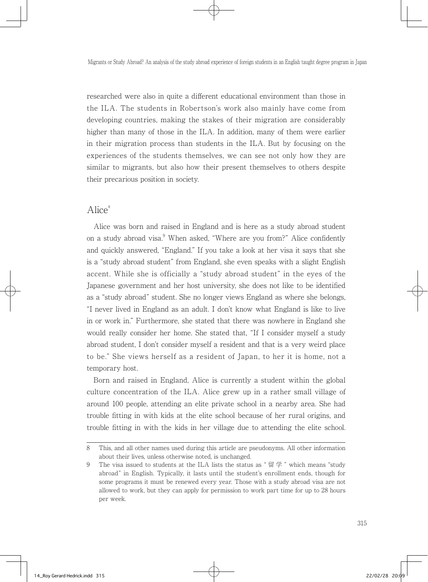researched were also in quite a different educational environment than those in the ILA. The students in Robertson's work also mainly have come from developing countries, making the stakes of their migration are considerably higher than many of those in the ILA. In addition, many of them were earlier in their migration process than students in the ILA. But by focusing on the experiences of the students themselves, we can see not only how they are similar to migrants, but also how their present themselves to others despite their precarious position in society.

#### $Alice^8$

 Alice was born and raised in England and is here as a study abroad student on a study abroad visa.<sup>9</sup> When asked, "Where are you from?" Alice confidently and quickly answered, "England." If you take a look at her visa it says that she is a "study abroad student" from England, she even speaks with a slight English accent. While she is officially a "study abroad student" in the eyes of the Japanese government and her host university, she does not like to be identified as a "study abroad" student. She no longer views England as where she belongs, "I never lived in England as an adult. I don't know what England is like to live in or work in." Furthermore, she stated that there was nowhere in England she would really consider her home. She stated that, "If I consider myself a study abroad student, I don't consider myself a resident and that is a very weird place to be." She views herself as a resident of Japan, to her it is home, not a temporary host.

 Born and raised in England, Alice is currently a student within the global culture concentration of the ILA. Alice grew up in a rather small village of around 100 people, attending an elite private school in a nearby area. She had trouble fitting in with kids at the elite school because of her rural origins, and trouble fitting in with the kids in her village due to attending the elite school.

<sup>8</sup> This, and all other names used during this article are pseudonyms. All other information about their lives, unless otherwise noted, is unchanged.

<sup>9</sup> The visa issued to students at the ILA lists the status as " 留学 " which means "study abroad" in English. Typically, it lasts until the student's enrollment ends, though for some programs it must be renewed every year. Those with a study abroad visa are not allowed to work, but they can apply for permission to work part time for up to 28 hours per week.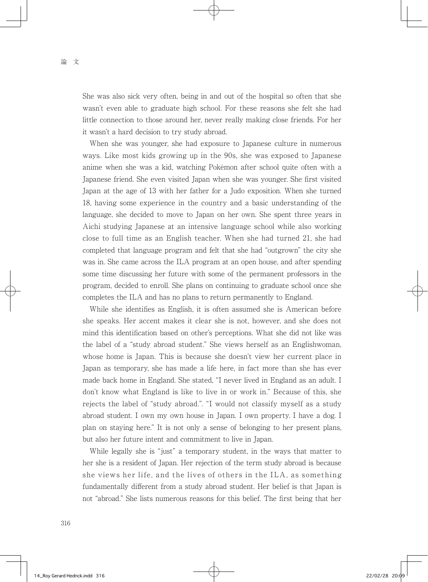She was also sick very often, being in and out of the hospital so often that she wasn't even able to graduate high school. For these reasons she felt she had little connection to those around her, never really making close friends. For her it wasn't a hard decision to try study abroad.

 When she was younger, she had exposure to Japanese culture in numerous ways. Like most kids growing up in the 90s, she was exposed to Japanese anime when she was a kid, watching Pokémon after school quite often with a Japanese friend. She even visited Japan when she was younger. She first visited Japan at the age of 13 with her father for a Judo exposition. When she turned 18, having some experience in the country and a basic understanding of the language, she decided to move to Japan on her own. She spent three years in Aichi studying Japanese at an intensive language school while also working close to full time as an English teacher. When she had turned 21, she had completed that language program and felt that she had "outgrown" the city she was in. She came across the ILA program at an open house, and after spending some time discussing her future with some of the permanent professors in the program, decided to enroll. She plans on continuing to graduate school once she completes the ILA and has no plans to return permanently to England.

 While she identifies as English, it is often assumed she is American before she speaks. Her accent makes it clear she is not, however, and she does not mind this identification based on other's perceptions. What she did not like was the label of a "study abroad student." She views herself as an Englishwoman, whose home is Japan. This is because she doesn't view her current place in Japan as temporary, she has made a life here, in fact more than she has ever made back home in England. She stated, "I never lived in England as an adult. I don't know what England is like to live in or work in." Because of this, she rejects the label of "study abroad.". "I would not classify myself as a study abroad student. I own my own house in Japan. I own property. I have a dog. I plan on staying here." It is not only a sense of belonging to her present plans, but also her future intent and commitment to live in Japan.

 While legally she is "just" a temporary student, in the ways that matter to her she is a resident of Japan. Her rejection of the term study abroad is because she views her life, and the lives of others in the ILA, as something fundamentally different from a study abroad student. Her belief is that Japan is not "abroad." She lists numerous reasons for this belief. The first being that her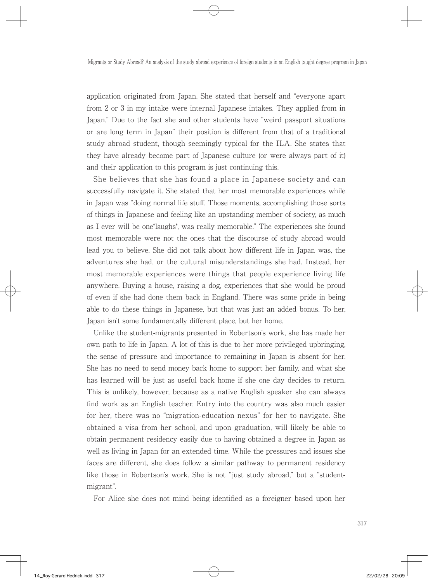application originated from Japan. She stated that herself and "everyone apart from 2 or 3 in my intake were internal Japanese intakes. They applied from in Japan." Due to the fact she and other students have "weird passport situations or are long term in Japan" their position is different from that of a traditional study abroad student, though seemingly typical for the ILA. She states that they have already become part of Japanese culture (or were always part of it) and their application to this program is just continuing this.

 She believes that she has found a place in Japanese society and can successfully navigate it. She stated that her most memorable experiences while in Japan was "doing normal life stuff. Those moments, accomplishing those sorts of things in Japanese and feeling like an upstanding member of society, as much as I ever will be one\*laughs\*, was really memorable." The experiences she found most memorable were not the ones that the discourse of study abroad would lead you to believe. She did not talk about how different life in Japan was, the adventures she had, or the cultural misunderstandings she had. Instead, her most memorable experiences were things that people experience living life anywhere. Buying a house, raising a dog, experiences that she would be proud of even if she had done them back in England. There was some pride in being able to do these things in Japanese, but that was just an added bonus. To her, Japan isn't some fundamentally different place, but her home.

 Unlike the student-migrants presented in Robertson's work, she has made her own path to life in Japan. A lot of this is due to her more privileged upbringing, the sense of pressure and importance to remaining in Japan is absent for her. She has no need to send money back home to support her family, and what she has learned will be just as useful back home if she one day decides to return. This is unlikely, however, because as a native English speaker she can always find work as an English teacher. Entry into the country was also much easier for her, there was no "migration-education nexus" for her to navigate. She obtained a visa from her school, and upon graduation, will likely be able to obtain permanent residency easily due to having obtained a degree in Japan as well as living in Japan for an extended time. While the pressures and issues she faces are different, she does follow a similar pathway to permanent residency like those in Robertson's work. She is not "just study abroad," but a "studentmigrant".

For Alice she does not mind being identified as a foreigner based upon her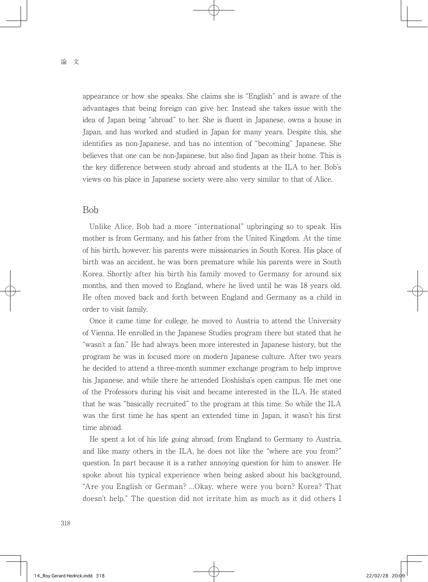appearance or how she speaks. She claims she is "English" and is aware of the advantages that being foreign can give her. Instead she takes issue with the idea of Japan being "abroad" to her. She is fluent in Japanese, owns a house in Japan, and has worked and studied in Japan for many years. Despite this, she identifies as non-Japanese, and has no intention of "becoming" Japanese. She believes that one can be non-Japanese, but also find Japan as their home. This is the key difference between study abroad and students at the ILA to her. Bob's views on his place in Japanese society were also very similar to that of Alice.

#### Bob

 Unlike Alice, Bob had a more "international" upbringing so to speak. His mother is from Germany, and his father from the United Kingdom. At the time of his birth, however, his parents were missionaries in South Korea. His place of birth was an accident, he was born premature while his parents were in South Korea. Shortly after his birth his family moved to Germany for around six months, and then moved to England, where he lived until he was 18 years old. He often moved back and forth between England and Germany as a child in order to visit family.

 Once it came time for college, he moved to Austria to attend the University of Vienna. He enrolled in the Japanese Studies program there but stated that he "wasn't a fan." He had always been more interested in Japanese history, but the program he was in focused more on modern Japanese culture. After two years he decided to attend a three-month summer exchange program to help improve his Japanese, and while there he attended Doshisha's open campus. He met one of the Professors during his visit and became interested in the ILA. He stated that he was "basically recruited" to the program at this time. So while the ILA was the first time he has spent an extended time in Japan, it wasn't his first time abroad.

 He spent a lot of his life going abroad, from England to Germany to Austria, and like many others in the ILA, he does not like the "where are you from?" question. In part because it is a rather annoying question for him to answer. He spoke about his typical experience when being asked about his background, "Are you English or German? ...Okay, where were you born? Korea? That doesn't help." The question did not irritate him as much as it did others I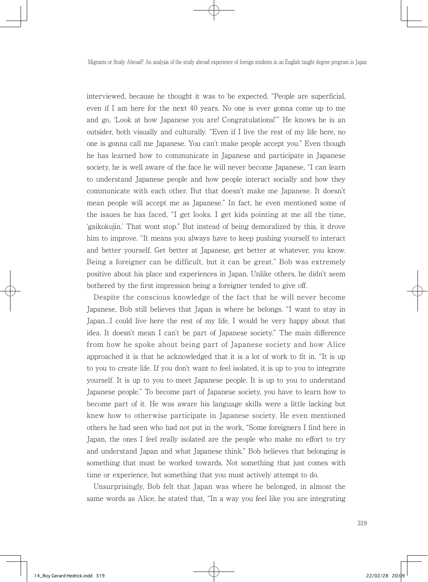interviewed, because he thought it was to be expected. "People are superficial, even if I am here for the next 40 years. No one is ever gonna come up to me and go, 'Look at how Japanese you are! Congratulations!'" He knows he is an outsider, both visually and culturally. "Even if I live the rest of my life here, no one is gonna call me Japanese. You can't make people accept you." Even though he has learned how to communicate in Japanese and participate in Japanese society, he is well aware of the face he will never become Japanese, "I can learn to understand Japanese people and how people interact socially and how they communicate with each other. But that doesn't make me Japanese. It doesn't mean people will accept me as Japanese." In fact, he even mentioned some of the issues he has faced, "I get looks. I get kids pointing at me all the time, 'gaikokujin.' That wont stop." But instead of being demoralized by this, it drove him to improve. "It means you always have to keep pushing yourself to interact and better yourself. Get better at Japanese, get better at whatever, you know. Being a foreigner can be difficult, but it can be great." Bob was extremely positive about his place and experiences in Japan. Unlike others, he didn't seem bothered by the first impression being a foreigner tended to give off.

 Despite the conscious knowledge of the fact that he will never become Japanese, Bob still believes that Japan is where he belongs. "I want to stay in Japan...I could live here the rest of my life. I would be very happy about that idea. It doesn't mean I can't be part of Japanese society." The main difference from how he spoke about being part of Japanese society and how Alice approached it is that he acknowledged that it is a lot of work to fit in. "It is up to you to create life. If you don't want to feel isolated, it is up to you to integrate yourself. It is up to you to meet Japanese people. It is up to you to understand Japanese people." To become part of Japanese society, you have to learn how to become part of it. He was aware his language skills were a little lacking but knew how to otherwise participate in Japanese society. He even mentioned others he had seen who had not put in the work, "Some foreigners I find here in Japan, the ones I feel really isolated are the people who make no effort to try and understand Japan and what Japanese think." Bob believes that belonging is something that must be worked towards. Not something that just comes with time or experience, but something that you must actively attempt to do.

 Unsurprisingly, Bob felt that Japan was where he belonged, in almost the same words as Alice, he stated that, "In a way you feel like you are integrating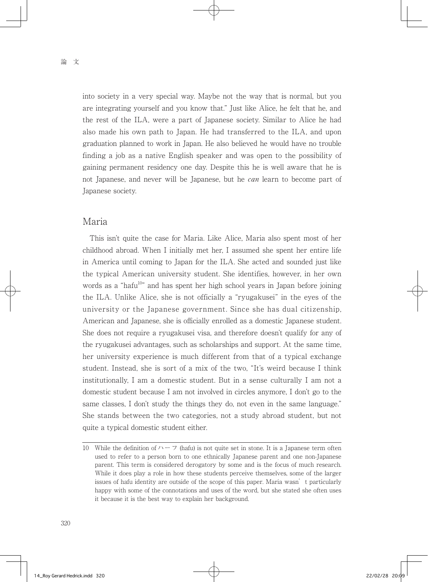into society in a very special way. Maybe not the way that is normal, but you are integrating yourself and you know that." Just like Alice, he felt that he, and the rest of the ILA, were a part of Japanese society. Similar to Alice he had also made his own path to Japan. He had transferred to the ILA, and upon graduation planned to work in Japan. He also believed he would have no trouble finding a job as a native English speaker and was open to the possibility of gaining permanent residency one day. Despite this he is well aware that he is not Japanese, and never will be Japanese, but he *can* learn to become part of Japanese society.

### Maria

 This isn't quite the case for Maria. Like Alice, Maria also spent most of her childhood abroad. When I initially met her, I assumed she spent her entire life in America until coming to Japan for the ILA. She acted and sounded just like the typical American university student. She identifies, however, in her own words as a "hafu<sup>10</sup>" and has spent her high school years in Japan before joining the ILA. Unlike Alice, she is not officially a "ryugakusei" in the eyes of the university or the Japanese government. Since she has dual citizenship, American and Japanese, she is officially enrolled as a domestic Japanese student. She does not require a ryugakusei visa, and therefore doesn't qualify for any of the ryugakusei advantages, such as scholarships and support. At the same time, her university experience is much different from that of a typical exchange student. Instead, she is sort of a mix of the two, "It's weird because I think institutionally, I am a domestic student. But in a sense culturally I am not a domestic student because I am not involved in circles anymore, I don't go to the same classes, I don't study the things they do, not even in the same language." She stands between the two categories, not a study abroad student, but not quite a typical domestic student either.

<sup>10</sup> While the definition of  $\gamma - \gamma$  (hafu) is not quite set in stone. It is a Japanese term often used to refer to a person born to one ethnically Japanese parent and one non-Japanese parent. This term is considered derogatory by some and is the focus of much research. While it does play a role in how these students perceive themselves, some of the larger issues of hafu identity are outside of the scope of this paper. Maria wasn't particularly happy with some of the connotations and uses of the word, but she stated she often uses it because it is the best way to explain her background.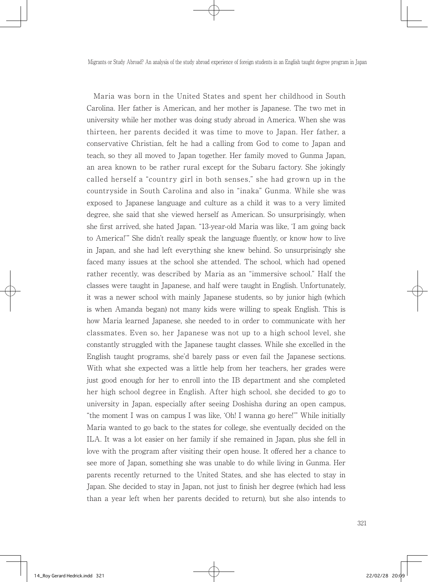Maria was born in the United States and spent her childhood in South Carolina. Her father is American, and her mother is Japanese. The two met in university while her mother was doing study abroad in America. When she was thirteen, her parents decided it was time to move to Japan. Her father, a conservative Christian, felt he had a calling from God to come to Japan and teach, so they all moved to Japan together. Her family moved to Gunma Japan, an area known to be rather rural except for the Subaru factory. She jokingly called herself a "country girl in both senses," she had grown up in the countryside in South Carolina and also in "inaka" Gunma. While she was exposed to Japanese language and culture as a child it was to a very limited degree, she said that she viewed herself as American. So unsurprisingly, when she first arrived, she hated Japan. "13-year-old Maria was like, 'I am going back to America!'" She didn't really speak the language fluently, or know how to live in Japan, and she had left everything she knew behind. So unsurprisingly she faced many issues at the school she attended. The school, which had opened rather recently, was described by Maria as an "immersive school." Half the classes were taught in Japanese, and half were taught in English. Unfortunately, it was a newer school with mainly Japanese students, so by junior high (which is when Amanda began) not many kids were willing to speak English. This is how Maria learned Japanese, she needed to in order to communicate with her classmates. Even so, her Japanese was not up to a high school level, she constantly struggled with the Japanese taught classes. While she excelled in the English taught programs, she'd barely pass or even fail the Japanese sections. With what she expected was a little help from her teachers, her grades were just good enough for her to enroll into the IB department and she completed her high school degree in English. After high school, she decided to go to university in Japan, especially after seeing Doshisha during an open campus, "the moment I was on campus I was like, 'Oh! I wanna go here!'" While initially Maria wanted to go back to the states for college, she eventually decided on the ILA. It was a lot easier on her family if she remained in Japan, plus she fell in love with the program after visiting their open house. It offered her a chance to see more of Japan, something she was unable to do while living in Gunma. Her parents recently returned to the United States, and she has elected to stay in Japan. She decided to stay in Japan, not just to finish her degree (which had less than a year left when her parents decided to return), but she also intends to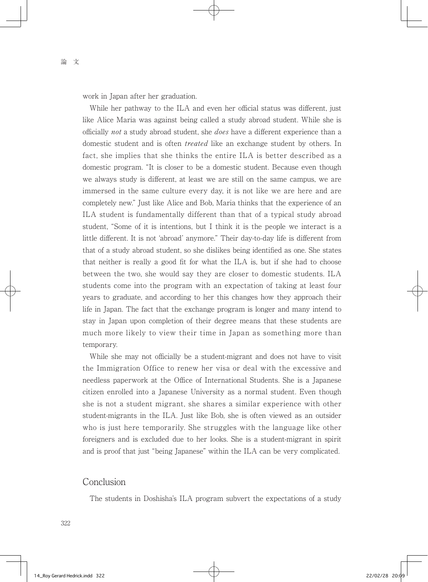work in Japan after her graduation.

While her pathway to the ILA and even her official status was different, just like Alice Maria was against being called a study abroad student. While she is officially not a study abroad student, she does have a different experience than a domestic student and is often *treated* like an exchange student by others. In fact, she implies that she thinks the entire ILA is better described as a domestic program. "It is closer to be a domestic student. Because even though we always study is different, at least we are still on the same campus, we are immersed in the same culture every day, it is not like we are here and are completely new." Just like Alice and Bob, Maria thinks that the experience of an ILA student is fundamentally different than that of a typical study abroad student, "Some of it is intentions, but I think it is the people we interact is a little different. It is not 'abroad' anymore." Their day-to-day life is different from that of a study abroad student, so she dislikes being identified as one. She states that neither is really a good fit for what the ILA is, but if she had to choose between the two, she would say they are closer to domestic students. ILA students come into the program with an expectation of taking at least four years to graduate, and according to her this changes how they approach their life in Japan. The fact that the exchange program is longer and many intend to stay in Japan upon completion of their degree means that these students are much more likely to view their time in Japan as something more than temporary.

 While she may not officially be a student-migrant and does not have to visit the Immigration Office to renew her visa or deal with the excessive and needless paperwork at the Office of International Students. She is a Japanese citizen enrolled into a Japanese University as a normal student. Even though she is not a student migrant, she shares a similar experience with other student-migrants in the ILA. Just like Bob, she is often viewed as an outsider who is just here temporarily. She struggles with the language like other foreigners and is excluded due to her looks. She is a student-migrant in spirit and is proof that just "being Japanese" within the ILA can be very complicated.

#### Conclusion

The students in Doshisha's ILA program subvert the expectations of a study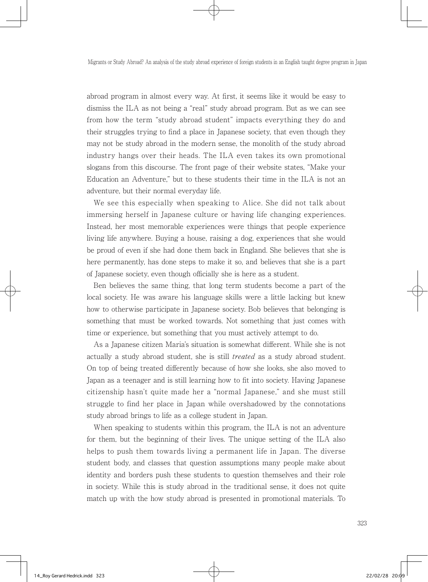abroad program in almost every way. At first, it seems like it would be easy to dismiss the ILA as not being a "real" study abroad program. But as we can see from how the term "study abroad student" impacts everything they do and their struggles trying to find a place in Japanese society, that even though they may not be study abroad in the modern sense, the monolith of the study abroad industry hangs over their heads. The ILA even takes its own promotional slogans from this discourse. The front page of their website states, "Make your Education an Adventure," but to these students their time in the ILA is not an adventure, but their normal everyday life.

 We see this especially when speaking to Alice. She did not talk about immersing herself in Japanese culture or having life changing experiences. Instead, her most memorable experiences were things that people experience living life anywhere. Buying a house, raising a dog, experiences that she would be proud of even if she had done them back in England. She believes that she is here permanently, has done steps to make it so, and believes that she is a part of Japanese society, even though officially she is here as a student.

 Ben believes the same thing, that long term students become a part of the local society. He was aware his language skills were a little lacking but knew how to otherwise participate in Japanese society. Bob believes that belonging is something that must be worked towards. Not something that just comes with time or experience, but something that you must actively attempt to do.

 As a Japanese citizen Maria's situation is somewhat different. While she is not actually a study abroad student, she is still treated as a study abroad student. On top of being treated differently because of how she looks, she also moved to Japan as a teenager and is still learning how to fit into society. Having Japanese citizenship hasn't quite made her a "normal Japanese," and she must still struggle to find her place in Japan while overshadowed by the connotations study abroad brings to life as a college student in Japan.

 When speaking to students within this program, the ILA is not an adventure for them, but the beginning of their lives. The unique setting of the ILA also helps to push them towards living a permanent life in Japan. The diverse student body, and classes that question assumptions many people make about identity and borders push these students to question themselves and their role in society. While this is study abroad in the traditional sense, it does not quite match up with the how study abroad is presented in promotional materials. To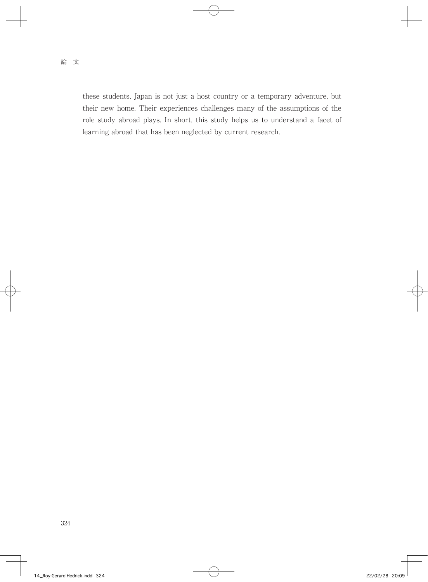these students, Japan is not just a host country or a temporary adventure, but their new home. Their experiences challenges many of the assumptions of the role study abroad plays. In short, this study helps us to understand a facet of learning abroad that has been neglected by current research.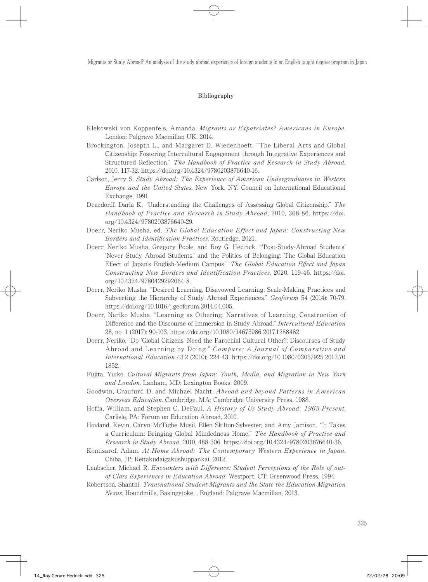#### Bibliography

- Klekowski von Koppenfels, Amanda. Migrants or Expatriates? Americans in Europe. London: Palgrave Macmillan UK, 2014.
- Brockington, Josepth L., and Margaret D. Wiedenhoeft. "The Liberal Arts and Global Citizenship: Fostering Intercultural Engagement through Integrative Experiences and Structured Reflection." The Handbook of Practice and Research in Study Abroad, 2010, 117-32. https://doi.org/10.4324/9780203876640-16.
- Carlson, Jerry S. Study Abroad: The Experience of American Undergraduates in Western Europe and the United States. New York, NY: Council on International Educational Exchange, 1991.
- Deardorff, Darla K. "Understanding the Challenges of Assessing Global Citizenship." The Handbook of Practice and Research in Study Abroad, 2010, 368-86. https://doi. org/10.4324/9780203876640-29.
- Doerr, Neriko Musha, ed. The Global Education Effect and Japan: Constructing New Borders and Identification Practices. Routledge, 2021.
- Doerr, Neriko Musha, Gregory Poole, and Roy G. Hedrick. "'Post-Study-Abroad Students' 'Never Study Abroad Students,' and the Politics of Belonging: The Global Education Effect of Japan's English-Medium Campus." The Global Education Effect and Japan Constructing New Borders and Identification Practices, 2020, 119-46. https://doi. org/10.4324/9780429292064-8.
- Doerr, Neriko Musha. "Desired Learning, Disavowed Learning: Scale-Making Practices and Subverting the Hierarchy of Study Abroad Experiences." Geoforum 54 (2014): 70-79. https://doi.org/10.1016/j.geoforum.2014.04.005.
- Doerr, Neriko Musha. "Learning as Othering: Narratives of Learning, Construction of Difference and the Discourse of Immersion in Study Abroad." Intercultural Education 28, no. 1 (2017): 90-103. https://doi.org/10.1080/14675986.2017.1288482.
- Doerr, Neriko. "Do 'Global Citizens' Need the Parochial Cultural Other?: Discourses of Study Abroad and Learning by Doing." Compare: A Journal of Comparative and International Education 43:2 (2010): 224-43. https://doi.org/10.1080/03057925.2012.70 1852.
- Fujita, Yuiko. Cultural Migrants from Japan: Youth, Media, and Migration in New York and London. Lanham, MD: Lexington Books, 2009.
- Goodwin, Craufurd D, and Michael Nacht. Abroad and beyond Patterns in American Overseas Education. Cambridge, MA: Cambridge University Press, 1988.
- Hoffa, William, and Stephen C. DePaul. A History of Us Study Abroad: 1965-Present. Carlisle, PA: Forum on Education Abroad, 2010.
- Hovland, Kevin, Caryn McTighe Musil, Ellen Skilton-Sylvester, and Amy Jamison. "It Takes a Curriculum: Bringing Global Mindedness Home." The Handbook of Practice and Research in Study Abroad, 2010, 488-506. https://doi.org/10.4324/9780203876640-36.
- Komisarof, Adam. At Home Abroad: The Contemporary Western Experience in Japan. Chiba, JP: Reitakudaigakushuppankai, 2012.
- Laubscher, Michael R. Encounters with Difference: Student Perceptions of the Role of outof-Class Experiences in Education Abroad. Westport, CT: Greenwood Press, 1994.
- Robertson, Shanthi. Transnational Student-Migrants and the State the Education-Migration Nexus. Houndmills, Basingstoke, , England: Palgrave Macmillan, 2013.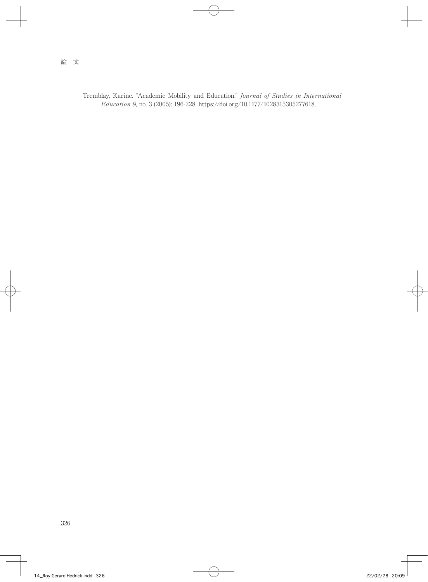Tremblay, Karine. "Academic Mobility and Education." Journal of Studies in International Education 9, no. 3 (2005): 196-228. https://doi.org/10.1177/1028315305277618.